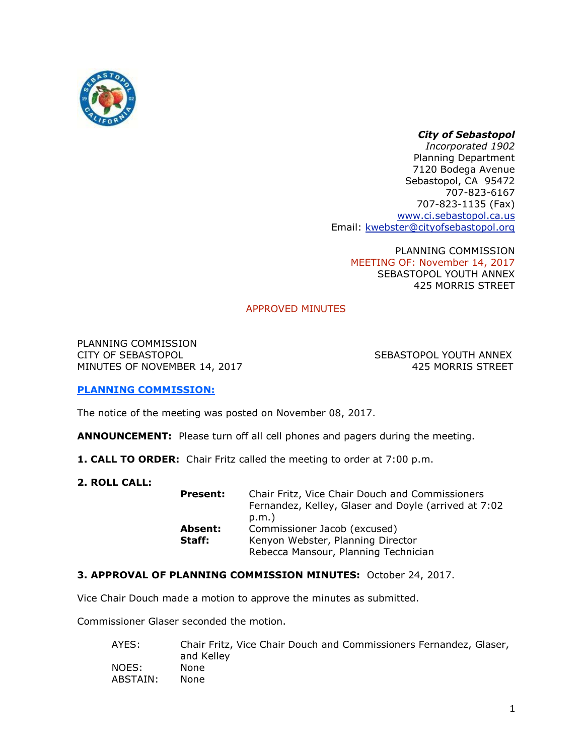

# *City of Sebastopol*

*Incorporated 1902* Planning Department 7120 Bodega Avenue Sebastopol, CA 95472 707-823-6167 707-823-1135 (Fax) [www.ci.sebastopol.ca.us](http://www.ci.sebastopol.ca.us/) Email: [kwebster@cityofsebastopol.org](mailto:kplan@sonic.net)

> PLANNING COMMISSION MEETING OF: November 14, 2017 SEBASTOPOL YOUTH ANNEX 425 MORRIS STREET

# APPROVED MINUTES

PLANNING COMMISSION CITY OF SEBASTOPOL SEBASTOPOL YOUTH ANNEX MINUTES OF NOVEMBER 14, 2017 **And String Strings ASS ASSESSED** 425 MORRIS STREET

## **PLANNING COMMISSION:**

The notice of the meeting was posted on November 08, 2017.

**ANNOUNCEMENT:** Please turn off all cell phones and pagers during the meeting.

- **1. CALL TO ORDER:** Chair Fritz called the meeting to order at 7:00 p.m.
- **2. ROLL CALL:**

| <b>Present:</b> | Chair Fritz, Vice Chair Douch and Commissioners<br>Fernandez, Kelley, Glaser and Doyle (arrived at 7:02 |
|-----------------|---------------------------------------------------------------------------------------------------------|
|                 | $p.m.$ )                                                                                                |
| Absent:         | Commissioner Jacob (excused)                                                                            |
| Staff:          | Kenyon Webster, Planning Director                                                                       |
|                 | Rebecca Mansour, Planning Technician                                                                    |

## **3. APPROVAL OF PLANNING COMMISSION MINUTES:** October 24, 2017.

Vice Chair Douch made a motion to approve the minutes as submitted.

Commissioner Glaser seconded the motion.

| AYES:    | Chair Fritz, Vice Chair Douch and Commissioners Fernandez, Glaser,<br>and Kelley |
|----------|----------------------------------------------------------------------------------|
| NOES:    | <b>None</b>                                                                      |
| ABSTAIN: | None                                                                             |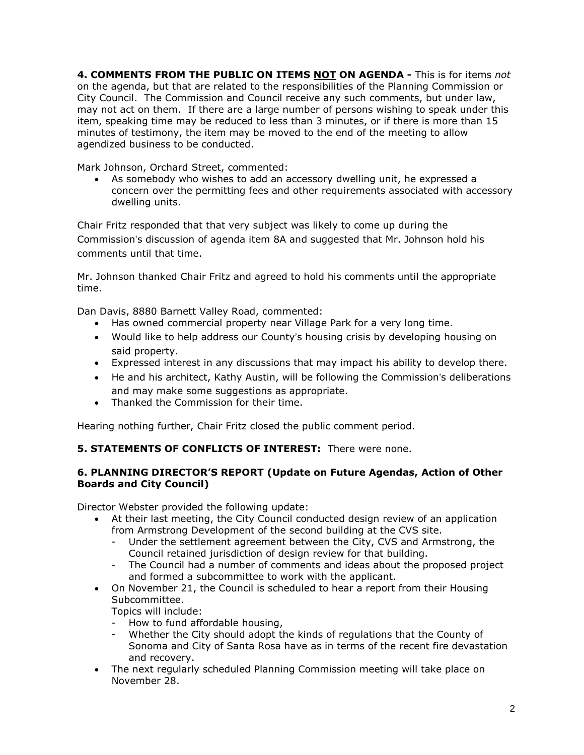**4. COMMENTS FROM THE PUBLIC ON ITEMS NOT ON AGENDA -** This is for items *not* on the agenda, but that are related to the responsibilities of the Planning Commission or City Council. The Commission and Council receive any such comments, but under law, may not act on them. If there are a large number of persons wishing to speak under this item, speaking time may be reduced to less than 3 minutes, or if there is more than 15 minutes of testimony, the item may be moved to the end of the meeting to allow agendized business to be conducted.

Mark Johnson, Orchard Street, commented:

• As somebody who wishes to add an accessory dwelling unit, he expressed a concern over the permitting fees and other requirements associated with accessory dwelling units.

Chair Fritz responded that that very subject was likely to come up during the Commission's discussion of agenda item 8A and suggested that Mr. Johnson hold his comments until that time.

Mr. Johnson thanked Chair Fritz and agreed to hold his comments until the appropriate time.

Dan Davis, 8880 Barnett Valley Road, commented:

- Has owned commercial property near Village Park for a very long time.
- Would like to help address our County's housing crisis by developing housing on said property.
- Expressed interest in any discussions that may impact his ability to develop there.
- He and his architect, Kathy Austin, will be following the Commission's deliberations and may make some suggestions as appropriate.
- Thanked the Commission for their time.

Hearing nothing further, Chair Fritz closed the public comment period.

## **5. STATEMENTS OF CONFLICTS OF INTEREST:** There were none.

## **6. PLANNING DIRECTOR'S REPORT (Update on Future Agendas, Action of Other Boards and City Council)**

Director Webster provided the following update:

- At their last meeting, the City Council conducted design review of an application from Armstrong Development of the second building at the CVS site.
	- Under the settlement agreement between the City, CVS and Armstrong, the Council retained jurisdiction of design review for that building.
	- The Council had a number of comments and ideas about the proposed project and formed a subcommittee to work with the applicant.
- On November 21, the Council is scheduled to hear a report from their Housing Subcommittee.

Topics will include:

- How to fund affordable housing,
- Whether the City should adopt the kinds of regulations that the County of Sonoma and City of Santa Rosa have as in terms of the recent fire devastation and recovery.
- The next regularly scheduled Planning Commission meeting will take place on November 28.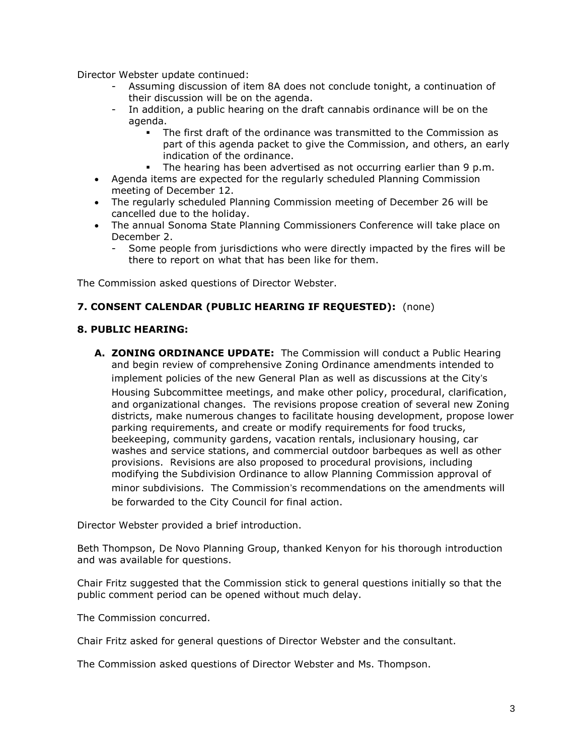Director Webster update continued:

- Assuming discussion of item 8A does not conclude tonight, a continuation of their discussion will be on the agenda.
- In addition, a public hearing on the draft cannabis ordinance will be on the agenda.
	- The first draft of the ordinance was transmitted to the Commission as part of this agenda packet to give the Commission, and others, an early indication of the ordinance.
	- . The hearing has been advertised as not occurring earlier than 9 p.m.
- Agenda items are expected for the regularly scheduled Planning Commission meeting of December 12.
- The regularly scheduled Planning Commission meeting of December 26 will be cancelled due to the holiday.
- The annual Sonoma State Planning Commissioners Conference will take place on December 2.
	- Some people from jurisdictions who were directly impacted by the fires will be there to report on what that has been like for them.

The Commission asked questions of Director Webster.

#### **7. CONSENT CALENDAR (PUBLIC HEARING IF REQUESTED):** (none)

#### **8. PUBLIC HEARING:**

**A. ZONING ORDINANCE UPDATE:** The Commission will conduct a Public Hearing and begin review of comprehensive Zoning Ordinance amendments intended to implement policies of the new General Plan as well as discussions at the City's Housing Subcommittee meetings, and make other policy, procedural, clarification, and organizational changes. The revisions propose creation of several new Zoning districts, make numerous changes to facilitate housing development, propose lower parking requirements, and create or modify requirements for food trucks, beekeeping, community gardens, vacation rentals, inclusionary housing, car washes and service stations, and commercial outdoor barbeques as well as other provisions. Revisions are also proposed to procedural provisions, including modifying the Subdivision Ordinance to allow Planning Commission approval of minor subdivisions. The Commission's recommendations on the amendments will be forwarded to the City Council for final action.

Director Webster provided a brief introduction.

Beth Thompson, De Novo Planning Group, thanked Kenyon for his thorough introduction and was available for questions.

Chair Fritz suggested that the Commission stick to general questions initially so that the public comment period can be opened without much delay.

The Commission concurred.

Chair Fritz asked for general questions of Director Webster and the consultant.

The Commission asked questions of Director Webster and Ms. Thompson.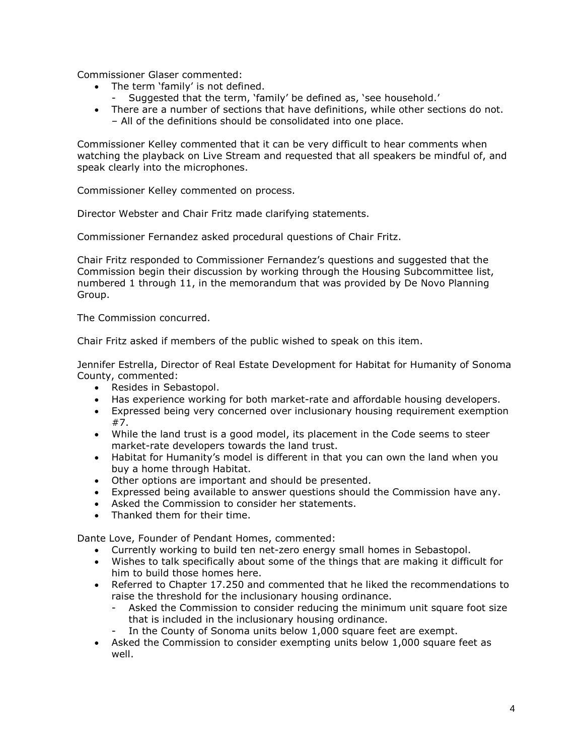Commissioner Glaser commented:

- The term 'family' is not defined.
	- Suggested that the term, 'family' be defined as, 'see household.'
- There are a number of sections that have definitions, while other sections do not. – All of the definitions should be consolidated into one place.

Commissioner Kelley commented that it can be very difficult to hear comments when watching the playback on Live Stream and requested that all speakers be mindful of, and speak clearly into the microphones.

Commissioner Kelley commented on process.

Director Webster and Chair Fritz made clarifying statements.

Commissioner Fernandez asked procedural questions of Chair Fritz.

Chair Fritz responded to Commissioner Fernandez's questions and suggested that the Commission begin their discussion by working through the Housing Subcommittee list, numbered 1 through 11, in the memorandum that was provided by De Novo Planning Group.

The Commission concurred.

Chair Fritz asked if members of the public wished to speak on this item.

Jennifer Estrella, Director of Real Estate Development for Habitat for Humanity of Sonoma County, commented:

- Resides in Sebastopol.
- Has experience working for both market-rate and affordable housing developers.
- Expressed being very concerned over inclusionary housing requirement exemption #7.
- While the land trust is a good model, its placement in the Code seems to steer market-rate developers towards the land trust.
- Habitat for Humanity's model is different in that you can own the land when you buy a home through Habitat.
- Other options are important and should be presented.
- Expressed being available to answer questions should the Commission have any.
- Asked the Commission to consider her statements.
- Thanked them for their time.

Dante Love, Founder of Pendant Homes, commented:

- Currently working to build ten net-zero energy small homes in Sebastopol.
- Wishes to talk specifically about some of the things that are making it difficult for him to build those homes here.
- Referred to Chapter 17.250 and commented that he liked the recommendations to raise the threshold for the inclusionary housing ordinance.
	- Asked the Commission to consider reducing the minimum unit square foot size that is included in the inclusionary housing ordinance.
	- In the County of Sonoma units below 1,000 square feet are exempt.
- Asked the Commission to consider exempting units below 1,000 square feet as well.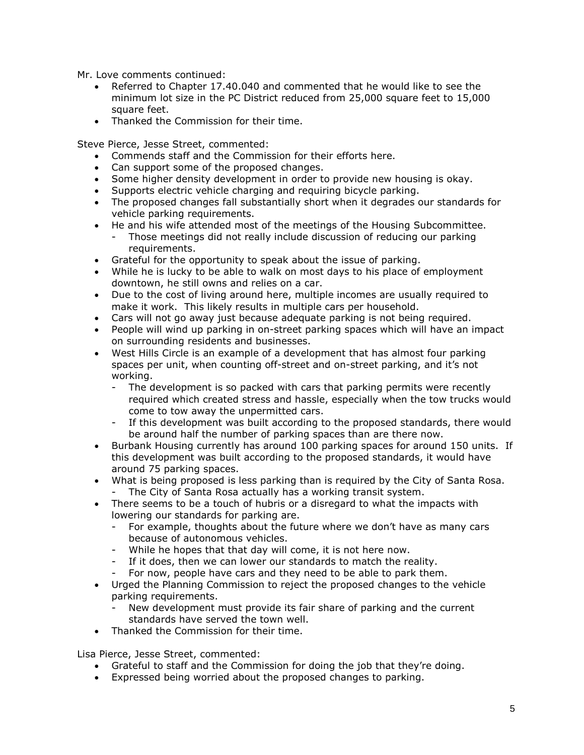Mr. Love comments continued:

- Referred to Chapter 17.40.040 and commented that he would like to see the minimum lot size in the PC District reduced from 25,000 square feet to 15,000 square feet.
- Thanked the Commission for their time.

Steve Pierce, Jesse Street, commented:

- Commends staff and the Commission for their efforts here.
- Can support some of the proposed changes.
- Some higher density development in order to provide new housing is okay.
- Supports electric vehicle charging and requiring bicycle parking.
- The proposed changes fall substantially short when it degrades our standards for vehicle parking requirements.
- He and his wife attended most of the meetings of the Housing Subcommittee.
	- Those meetings did not really include discussion of reducing our parking requirements.
- Grateful for the opportunity to speak about the issue of parking.
- While he is lucky to be able to walk on most days to his place of employment downtown, he still owns and relies on a car.
- Due to the cost of living around here, multiple incomes are usually required to make it work. This likely results in multiple cars per household.
- Cars will not go away just because adequate parking is not being required.
- People will wind up parking in on-street parking spaces which will have an impact on surrounding residents and businesses.
- West Hills Circle is an example of a development that has almost four parking spaces per unit, when counting off-street and on-street parking, and it's not working.
	- The development is so packed with cars that parking permits were recently required which created stress and hassle, especially when the tow trucks would come to tow away the unpermitted cars.
	- If this development was built according to the proposed standards, there would be around half the number of parking spaces than are there now.
- Burbank Housing currently has around 100 parking spaces for around 150 units. If this development was built according to the proposed standards, it would have around 75 parking spaces.
- What is being proposed is less parking than is required by the City of Santa Rosa. The City of Santa Rosa actually has a working transit system.
- There seems to be a touch of hubris or a disregard to what the impacts with lowering our standards for parking are.
	- For example, thoughts about the future where we don't have as many cars because of autonomous vehicles.
	- While he hopes that that day will come, it is not here now.
	- If it does, then we can lower our standards to match the reality.
	- For now, people have cars and they need to be able to park them.
- Urged the Planning Commission to reject the proposed changes to the vehicle parking requirements.
	- New development must provide its fair share of parking and the current standards have served the town well.
- Thanked the Commission for their time.

Lisa Pierce, Jesse Street, commented:

- Grateful to staff and the Commission for doing the job that they're doing.
- Expressed being worried about the proposed changes to parking.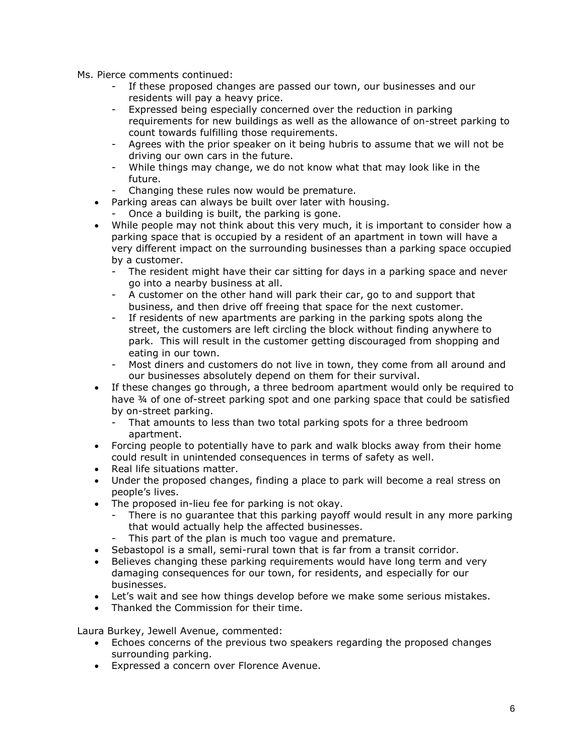- Ms. Pierce comments continued:
	- If these proposed changes are passed our town, our businesses and our residents will pay a heavy price.
	- Expressed being especially concerned over the reduction in parking requirements for new buildings as well as the allowance of on-street parking to count towards fulfilling those requirements.
	- Agrees with the prior speaker on it being hubris to assume that we will not be driving our own cars in the future.
	- While things may change, we do not know what that may look like in the future.
	- Changing these rules now would be premature.
	- Parking areas can always be built over later with housing.
		- Once a building is built, the parking is gone.
	- While people may not think about this very much, it is important to consider how a parking space that is occupied by a resident of an apartment in town will have a very different impact on the surrounding businesses than a parking space occupied by a customer.
		- The resident might have their car sitting for days in a parking space and never go into a nearby business at all.
		- A customer on the other hand will park their car, go to and support that business, and then drive off freeing that space for the next customer.
		- If residents of new apartments are parking in the parking spots along the street, the customers are left circling the block without finding anywhere to park. This will result in the customer getting discouraged from shopping and eating in our town.
		- Most diners and customers do not live in town, they come from all around and our businesses absolutely depend on them for their survival.
	- If these changes go through, a three bedroom apartment would only be required to have ¾ of one of-street parking spot and one parking space that could be satisfied by on-street parking.
		- That amounts to less than two total parking spots for a three bedroom apartment.
	- Forcing people to potentially have to park and walk blocks away from their home could result in unintended consequences in terms of safety as well.
	- Real life situations matter.
	- Under the proposed changes, finding a place to park will become a real stress on people's lives.
	- The proposed in-lieu fee for parking is not okay.
		- There is no quarantee that this parking payoff would result in any more parking that would actually help the affected businesses.
		- This part of the plan is much too vague and premature.
	- Sebastopol is a small, semi-rural town that is far from a transit corridor.
	- Believes changing these parking requirements would have long term and very damaging consequences for our town, for residents, and especially for our businesses.
	- Let's wait and see how things develop before we make some serious mistakes.
	- Thanked the Commission for their time.

Laura Burkey, Jewell Avenue, commented:

- Echoes concerns of the previous two speakers regarding the proposed changes surrounding parking.
- Expressed a concern over Florence Avenue.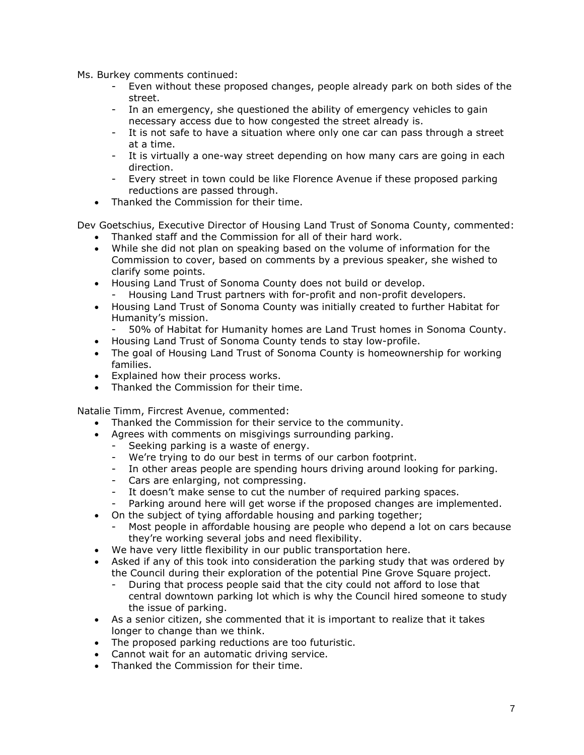Ms. Burkey comments continued:

- Even without these proposed changes, people already park on both sides of the street.
- In an emergency, she questioned the ability of emergency vehicles to gain necessary access due to how congested the street already is.
- It is not safe to have a situation where only one car can pass through a street at a time.
- It is virtually a one-way street depending on how many cars are going in each direction.
- Every street in town could be like Florence Avenue if these proposed parking reductions are passed through.
- Thanked the Commission for their time.

Dev Goetschius, Executive Director of Housing Land Trust of Sonoma County, commented:

- Thanked staff and the Commission for all of their hard work.
- While she did not plan on speaking based on the volume of information for the Commission to cover, based on comments by a previous speaker, she wished to clarify some points.
- Housing Land Trust of Sonoma County does not build or develop.
	- Housing Land Trust partners with for-profit and non-profit developers.
- Housing Land Trust of Sonoma County was initially created to further Habitat for Humanity's mission.
	- 50% of Habitat for Humanity homes are Land Trust homes in Sonoma County.
- Housing Land Trust of Sonoma County tends to stay low-profile.
- The goal of Housing Land Trust of Sonoma County is homeownership for working families.
- Explained how their process works.
- Thanked the Commission for their time.

Natalie Timm, Fircrest Avenue, commented:

- Thanked the Commission for their service to the community.
- Agrees with comments on misgivings surrounding parking.
	- Seeking parking is a waste of energy.
	- We're trying to do our best in terms of our carbon footprint.
	- In other areas people are spending hours driving around looking for parking.
	- Cars are enlarging, not compressing.
	- It doesn't make sense to cut the number of required parking spaces.
	- Parking around here will get worse if the proposed changes are implemented.
- On the subject of tying affordable housing and parking together;
	- Most people in affordable housing are people who depend a lot on cars because they're working several jobs and need flexibility.
- We have very little flexibility in our public transportation here.
- Asked if any of this took into consideration the parking study that was ordered by the Council during their exploration of the potential Pine Grove Square project.
	- During that process people said that the city could not afford to lose that central downtown parking lot which is why the Council hired someone to study the issue of parking.
- As a senior citizen, she commented that it is important to realize that it takes longer to change than we think.
- The proposed parking reductions are too futuristic.
- Cannot wait for an automatic driving service.
- Thanked the Commission for their time.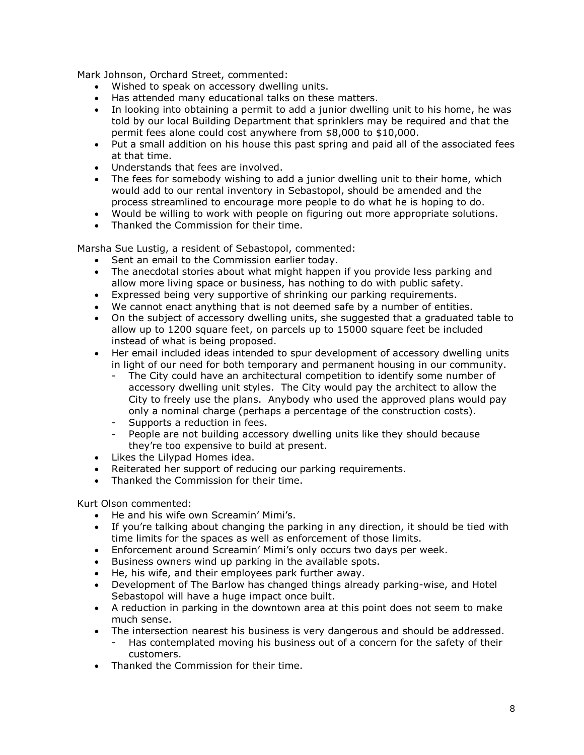Mark Johnson, Orchard Street, commented:

- Wished to speak on accessory dwelling units.
- Has attended many educational talks on these matters.
- In looking into obtaining a permit to add a junior dwelling unit to his home, he was told by our local Building Department that sprinklers may be required and that the permit fees alone could cost anywhere from \$8,000 to \$10,000.
- Put a small addition on his house this past spring and paid all of the associated fees at that time.
- Understands that fees are involved.
- The fees for somebody wishing to add a junior dwelling unit to their home, which would add to our rental inventory in Sebastopol, should be amended and the process streamlined to encourage more people to do what he is hoping to do.
- Would be willing to work with people on figuring out more appropriate solutions.
- Thanked the Commission for their time.

Marsha Sue Lustig, a resident of Sebastopol, commented:

- Sent an email to the Commission earlier today.
- The anecdotal stories about what might happen if you provide less parking and allow more living space or business, has nothing to do with public safety.
- Expressed being very supportive of shrinking our parking requirements.
- We cannot enact anything that is not deemed safe by a number of entities.
- On the subject of accessory dwelling units, she suggested that a graduated table to allow up to 1200 square feet, on parcels up to 15000 square feet be included instead of what is being proposed.
- Her email included ideas intended to spur development of accessory dwelling units in light of our need for both temporary and permanent housing in our community.
	- The City could have an architectural competition to identify some number of accessory dwelling unit styles. The City would pay the architect to allow the City to freely use the plans. Anybody who used the approved plans would pay only a nominal charge (perhaps a percentage of the construction costs).
	- Supports a reduction in fees.
	- People are not building accessory dwelling units like they should because they're too expensive to build at present.
- Likes the Lilypad Homes idea.
- Reiterated her support of reducing our parking requirements.
- Thanked the Commission for their time.

Kurt Olson commented:

- He and his wife own Screamin' Mimi's.
- If you're talking about changing the parking in any direction, it should be tied with time limits for the spaces as well as enforcement of those limits.
- Enforcement around Screamin' Mimi's only occurs two days per week.
- Business owners wind up parking in the available spots.
- He, his wife, and their employees park further away.
- Development of The Barlow has changed things already parking-wise, and Hotel Sebastopol will have a huge impact once built.
- A reduction in parking in the downtown area at this point does not seem to make much sense.
- The intersection nearest his business is very dangerous and should be addressed.
	- Has contemplated moving his business out of a concern for the safety of their customers.
- Thanked the Commission for their time.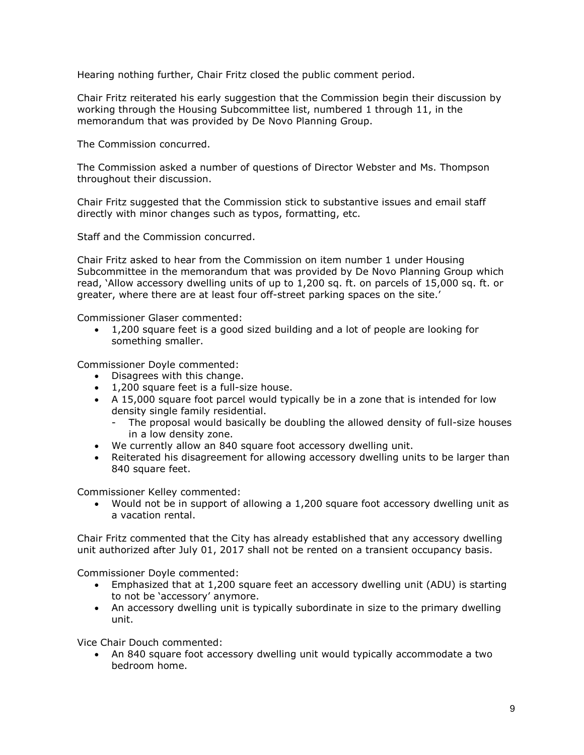Hearing nothing further, Chair Fritz closed the public comment period.

Chair Fritz reiterated his early suggestion that the Commission begin their discussion by working through the Housing Subcommittee list, numbered 1 through 11, in the memorandum that was provided by De Novo Planning Group.

The Commission concurred.

The Commission asked a number of questions of Director Webster and Ms. Thompson throughout their discussion.

Chair Fritz suggested that the Commission stick to substantive issues and email staff directly with minor changes such as typos, formatting, etc.

Staff and the Commission concurred.

Chair Fritz asked to hear from the Commission on item number 1 under Housing Subcommittee in the memorandum that was provided by De Novo Planning Group which read, 'Allow accessory dwelling units of up to 1,200 sq. ft. on parcels of 15,000 sq. ft. or greater, where there are at least four off-street parking spaces on the site.'

Commissioner Glaser commented:

• 1,200 square feet is a good sized building and a lot of people are looking for something smaller.

Commissioner Doyle commented:

- Disagrees with this change.
- 1,200 square feet is a full-size house.
- A 15,000 square foot parcel would typically be in a zone that is intended for low density single family residential.
	- The proposal would basically be doubling the allowed density of full-size houses in a low density zone.
- We currently allow an 840 square foot accessory dwelling unit.
- Reiterated his disagreement for allowing accessory dwelling units to be larger than 840 square feet.

Commissioner Kelley commented:

• Would not be in support of allowing a 1,200 square foot accessory dwelling unit as a vacation rental.

Chair Fritz commented that the City has already established that any accessory dwelling unit authorized after July 01, 2017 shall not be rented on a transient occupancy basis.

Commissioner Doyle commented:

- Emphasized that at 1,200 square feet an accessory dwelling unit (ADU) is starting to not be 'accessory' anymore.
- An accessory dwelling unit is typically subordinate in size to the primary dwelling unit.

Vice Chair Douch commented:

• An 840 square foot accessory dwelling unit would typically accommodate a two bedroom home.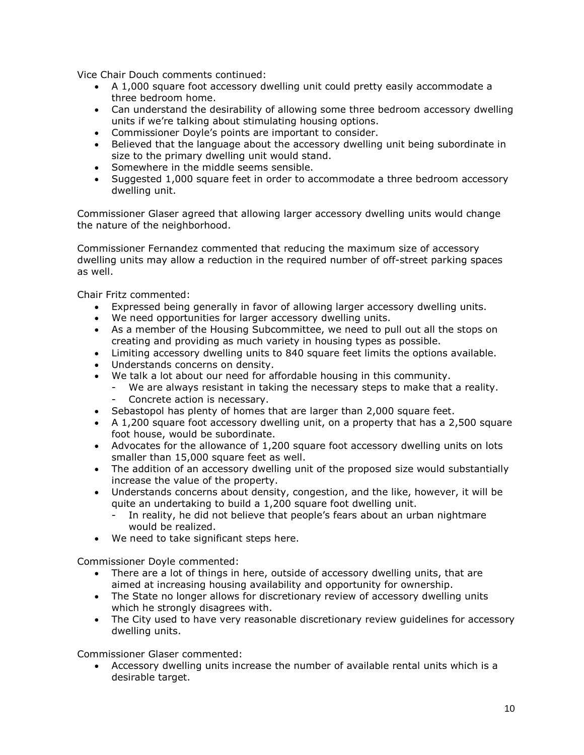Vice Chair Douch comments continued:

- A 1,000 square foot accessory dwelling unit could pretty easily accommodate a three bedroom home.
- Can understand the desirability of allowing some three bedroom accessory dwelling units if we're talking about stimulating housing options.
- Commissioner Doyle's points are important to consider.
- Believed that the language about the accessory dwelling unit being subordinate in size to the primary dwelling unit would stand.
- Somewhere in the middle seems sensible.
- Suggested 1,000 square feet in order to accommodate a three bedroom accessory dwelling unit.

Commissioner Glaser agreed that allowing larger accessory dwelling units would change the nature of the neighborhood.

Commissioner Fernandez commented that reducing the maximum size of accessory dwelling units may allow a reduction in the required number of off-street parking spaces as well.

Chair Fritz commented:

- Expressed being generally in favor of allowing larger accessory dwelling units.
- We need opportunities for larger accessory dwelling units.
- As a member of the Housing Subcommittee, we need to pull out all the stops on creating and providing as much variety in housing types as possible.
- Limiting accessory dwelling units to 840 square feet limits the options available.
- Understands concerns on density.
- We talk a lot about our need for affordable housing in this community.
	- We are always resistant in taking the necessary steps to make that a reality. Concrete action is necessary.
- Sebastopol has plenty of homes that are larger than 2,000 square feet.
- A 1,200 square foot accessory dwelling unit, on a property that has a 2,500 square foot house, would be subordinate.
- Advocates for the allowance of 1,200 square foot accessory dwelling units on lots smaller than 15,000 square feet as well.
- The addition of an accessory dwelling unit of the proposed size would substantially increase the value of the property.
- Understands concerns about density, congestion, and the like, however, it will be quite an undertaking to build a 1,200 square foot dwelling unit.
	- In reality, he did not believe that people's fears about an urban nightmare would be realized.
- We need to take significant steps here.

Commissioner Doyle commented:

- There are a lot of things in here, outside of accessory dwelling units, that are aimed at increasing housing availability and opportunity for ownership.
- The State no longer allows for discretionary review of accessory dwelling units which he strongly disagrees with.
- The City used to have very reasonable discretionary review guidelines for accessory dwelling units.

Commissioner Glaser commented:

• Accessory dwelling units increase the number of available rental units which is a desirable target.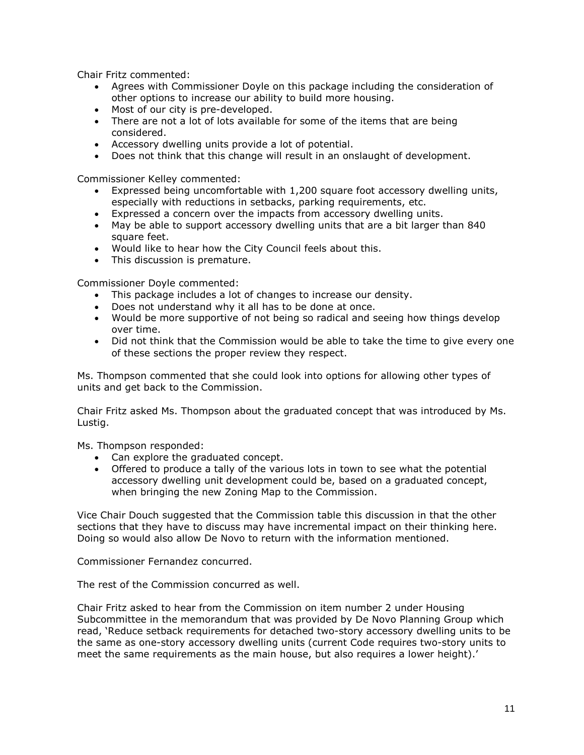Chair Fritz commented:

- Agrees with Commissioner Doyle on this package including the consideration of other options to increase our ability to build more housing.
- Most of our city is pre-developed.
- There are not a lot of lots available for some of the items that are being considered.
- Accessory dwelling units provide a lot of potential.
- Does not think that this change will result in an onslaught of development.

Commissioner Kelley commented:

- Expressed being uncomfortable with 1,200 square foot accessory dwelling units, especially with reductions in setbacks, parking requirements, etc.
- Expressed a concern over the impacts from accessory dwelling units.
- May be able to support accessory dwelling units that are a bit larger than 840 square feet.
- Would like to hear how the City Council feels about this.
- This discussion is premature.

Commissioner Doyle commented:

- This package includes a lot of changes to increase our density.
- Does not understand why it all has to be done at once.
- Would be more supportive of not being so radical and seeing how things develop over time.
- Did not think that the Commission would be able to take the time to give every one of these sections the proper review they respect.

Ms. Thompson commented that she could look into options for allowing other types of units and get back to the Commission.

Chair Fritz asked Ms. Thompson about the graduated concept that was introduced by Ms. Lustig.

Ms. Thompson responded:

- Can explore the graduated concept.
- Offered to produce a tally of the various lots in town to see what the potential accessory dwelling unit development could be, based on a graduated concept, when bringing the new Zoning Map to the Commission.

Vice Chair Douch suggested that the Commission table this discussion in that the other sections that they have to discuss may have incremental impact on their thinking here. Doing so would also allow De Novo to return with the information mentioned.

Commissioner Fernandez concurred.

The rest of the Commission concurred as well.

Chair Fritz asked to hear from the Commission on item number 2 under Housing Subcommittee in the memorandum that was provided by De Novo Planning Group which read, 'Reduce setback requirements for detached two-story accessory dwelling units to be the same as one-story accessory dwelling units (current Code requires two-story units to meet the same requirements as the main house, but also requires a lower height).'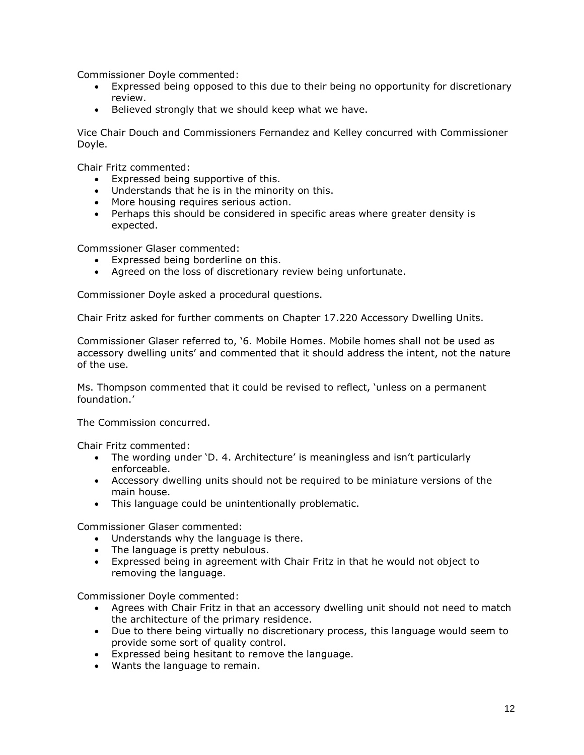Commissioner Doyle commented:

- Expressed being opposed to this due to their being no opportunity for discretionary review.
- Believed strongly that we should keep what we have.

Vice Chair Douch and Commissioners Fernandez and Kelley concurred with Commissioner Doyle.

Chair Fritz commented:

- Expressed being supportive of this.
- Understands that he is in the minority on this.
- More housing requires serious action.
- Perhaps this should be considered in specific areas where greater density is expected.

Commssioner Glaser commented:

- Expressed being borderline on this.
- Agreed on the loss of discretionary review being unfortunate.

Commissioner Doyle asked a procedural questions.

Chair Fritz asked for further comments on Chapter 17.220 Accessory Dwelling Units.

Commissioner Glaser referred to, '6. Mobile Homes. Mobile homes shall not be used as accessory dwelling units' and commented that it should address the intent, not the nature of the use.

Ms. Thompson commented that it could be revised to reflect, 'unless on a permanent foundation.'

The Commission concurred.

Chair Fritz commented:

- The wording under 'D. 4. Architecture' is meaningless and isn't particularly enforceable.
- Accessory dwelling units should not be required to be miniature versions of the main house.
- This language could be unintentionally problematic.

Commissioner Glaser commented:

- Understands why the language is there.
- The language is pretty nebulous.
- Expressed being in agreement with Chair Fritz in that he would not object to removing the language.

Commissioner Doyle commented:

- Agrees with Chair Fritz in that an accessory dwelling unit should not need to match the architecture of the primary residence.
- Due to there being virtually no discretionary process, this language would seem to provide some sort of quality control.
- Expressed being hesitant to remove the language.
- Wants the language to remain.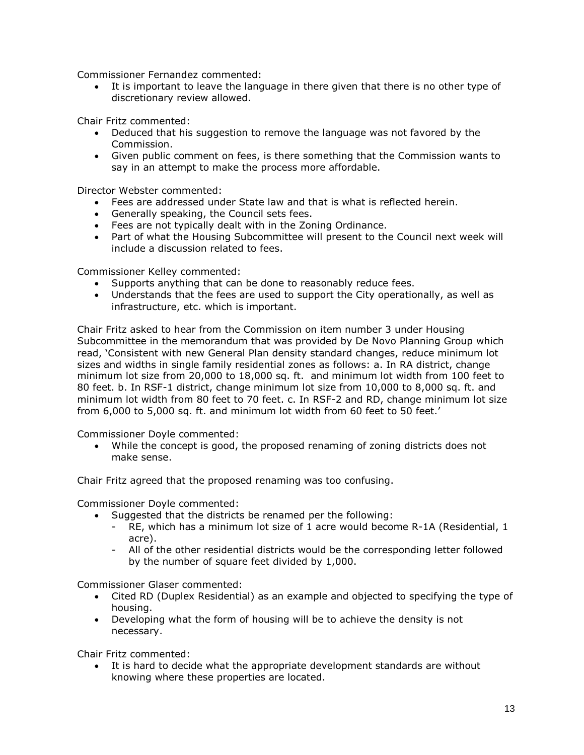Commissioner Fernandez commented:

• It is important to leave the language in there given that there is no other type of discretionary review allowed.

Chair Fritz commented:

- Deduced that his suggestion to remove the language was not favored by the Commission.
- Given public comment on fees, is there something that the Commission wants to say in an attempt to make the process more affordable.

Director Webster commented:

- Fees are addressed under State law and that is what is reflected herein.
- Generally speaking, the Council sets fees.
- Fees are not typically dealt with in the Zoning Ordinance.
- Part of what the Housing Subcommittee will present to the Council next week will include a discussion related to fees.

Commissioner Kelley commented:

- Supports anything that can be done to reasonably reduce fees.
- Understands that the fees are used to support the City operationally, as well as infrastructure, etc. which is important.

Chair Fritz asked to hear from the Commission on item number 3 under Housing Subcommittee in the memorandum that was provided by De Novo Planning Group which read, 'Consistent with new General Plan density standard changes, reduce minimum lot sizes and widths in single family residential zones as follows: a. In RA district, change minimum lot size from 20,000 to 18,000 sq. ft. and minimum lot width from 100 feet to 80 feet. b. In RSF-1 district, change minimum lot size from 10,000 to 8,000 sq. ft. and minimum lot width from 80 feet to 70 feet. c. In RSF-2 and RD, change minimum lot size from 6,000 to 5,000 sq. ft. and minimum lot width from 60 feet to 50 feet.'

Commissioner Doyle commented:

• While the concept is good, the proposed renaming of zoning districts does not make sense.

Chair Fritz agreed that the proposed renaming was too confusing.

Commissioner Doyle commented:

- Suggested that the districts be renamed per the following:
	- RE, which has a minimum lot size of 1 acre would become R-1A (Residential, 1 acre).
	- All of the other residential districts would be the corresponding letter followed by the number of square feet divided by 1,000.

Commissioner Glaser commented:

- Cited RD (Duplex Residential) as an example and objected to specifying the type of housing.
- Developing what the form of housing will be to achieve the density is not necessary.

Chair Fritz commented:

• It is hard to decide what the appropriate development standards are without knowing where these properties are located.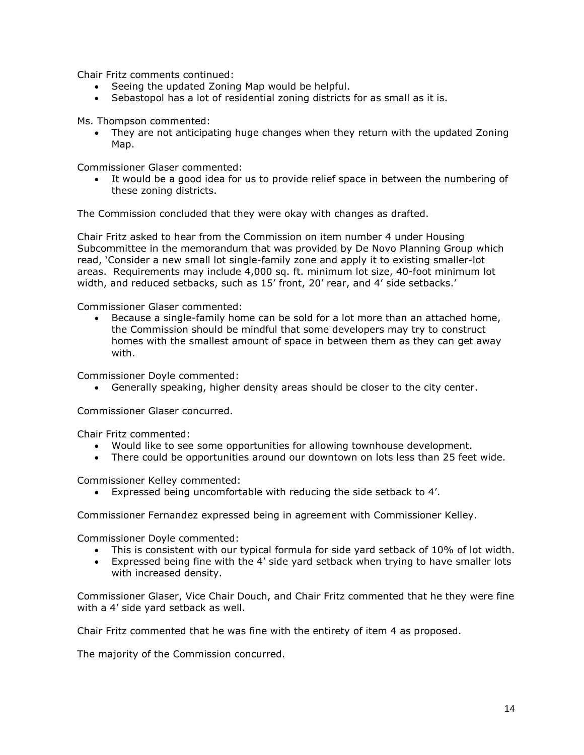Chair Fritz comments continued:

- Seeing the updated Zoning Map would be helpful.
- Sebastopol has a lot of residential zoning districts for as small as it is.

Ms. Thompson commented:

• They are not anticipating huge changes when they return with the updated Zoning Map.

Commissioner Glaser commented:

• It would be a good idea for us to provide relief space in between the numbering of these zoning districts.

The Commission concluded that they were okay with changes as drafted.

Chair Fritz asked to hear from the Commission on item number 4 under Housing Subcommittee in the memorandum that was provided by De Novo Planning Group which read, 'Consider a new small lot single-family zone and apply it to existing smaller-lot areas. Requirements may include 4,000 sq. ft. minimum lot size, 40-foot minimum lot width, and reduced setbacks, such as 15' front, 20' rear, and 4' side setbacks.'

Commissioner Glaser commented:

• Because a single-family home can be sold for a lot more than an attached home, the Commission should be mindful that some developers may try to construct homes with the smallest amount of space in between them as they can get away with.

Commissioner Doyle commented:

• Generally speaking, higher density areas should be closer to the city center.

Commissioner Glaser concurred.

Chair Fritz commented:

- Would like to see some opportunities for allowing townhouse development.
- There could be opportunities around our downtown on lots less than 25 feet wide.

Commissioner Kelley commented:

• Expressed being uncomfortable with reducing the side setback to 4'.

Commissioner Fernandez expressed being in agreement with Commissioner Kelley.

Commissioner Doyle commented:

- This is consistent with our typical formula for side yard setback of 10% of lot width.
- Expressed being fine with the 4' side yard setback when trying to have smaller lots with increased density.

Commissioner Glaser, Vice Chair Douch, and Chair Fritz commented that he they were fine with a 4' side yard setback as well.

Chair Fritz commented that he was fine with the entirety of item 4 as proposed.

The majority of the Commission concurred.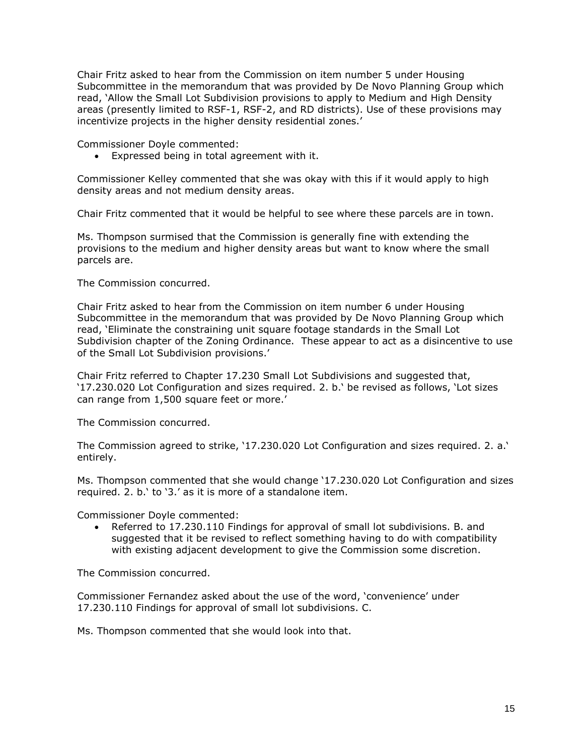Chair Fritz asked to hear from the Commission on item number 5 under Housing Subcommittee in the memorandum that was provided by De Novo Planning Group which read, 'Allow the Small Lot Subdivision provisions to apply to Medium and High Density areas (presently limited to RSF-1, RSF-2, and RD districts). Use of these provisions may incentivize projects in the higher density residential zones.'

Commissioner Doyle commented:

• Expressed being in total agreement with it.

Commissioner Kelley commented that she was okay with this if it would apply to high density areas and not medium density areas.

Chair Fritz commented that it would be helpful to see where these parcels are in town.

Ms. Thompson surmised that the Commission is generally fine with extending the provisions to the medium and higher density areas but want to know where the small parcels are.

The Commission concurred.

Chair Fritz asked to hear from the Commission on item number 6 under Housing Subcommittee in the memorandum that was provided by De Novo Planning Group which read, 'Eliminate the constraining unit square footage standards in the Small Lot Subdivision chapter of the Zoning Ordinance. These appear to act as a disincentive to use of the Small Lot Subdivision provisions.'

Chair Fritz referred to Chapter 17.230 Small Lot Subdivisions and suggested that, '17.230.020 Lot Configuration and sizes required. 2. b.' be revised as follows, 'Lot sizes can range from 1,500 square feet or more.'

The Commission concurred.

The Commission agreed to strike, '17.230.020 Lot Configuration and sizes required. 2. a.' entirely.

Ms. Thompson commented that she would change '17.230.020 Lot Configuration and sizes required. 2. b.' to '3.' as it is more of a standalone item.

Commissioner Doyle commented:

• Referred to 17.230.110 Findings for approval of small lot subdivisions. B. and suggested that it be revised to reflect something having to do with compatibility with existing adjacent development to give the Commission some discretion.

The Commission concurred.

Commissioner Fernandez asked about the use of the word, 'convenience' under 17.230.110 Findings for approval of small lot subdivisions. C.

Ms. Thompson commented that she would look into that.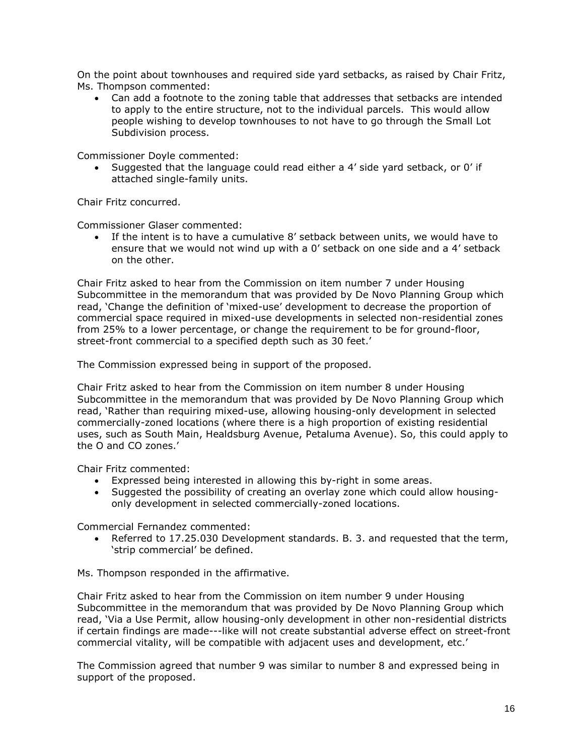On the point about townhouses and required side yard setbacks, as raised by Chair Fritz, Ms. Thompson commented:

• Can add a footnote to the zoning table that addresses that setbacks are intended to apply to the entire structure, not to the individual parcels. This would allow people wishing to develop townhouses to not have to go through the Small Lot Subdivision process.

Commissioner Doyle commented:

• Suggested that the language could read either a 4' side yard setback, or 0' if attached single-family units.

Chair Fritz concurred.

Commissioner Glaser commented:

• If the intent is to have a cumulative 8' setback between units, we would have to ensure that we would not wind up with a 0' setback on one side and a 4' setback on the other.

Chair Fritz asked to hear from the Commission on item number 7 under Housing Subcommittee in the memorandum that was provided by De Novo Planning Group which read, 'Change the definition of 'mixed-use' development to decrease the proportion of commercial space required in mixed-use developments in selected non-residential zones from 25% to a lower percentage, or change the requirement to be for ground-floor, street-front commercial to a specified depth such as 30 feet.'

The Commission expressed being in support of the proposed.

Chair Fritz asked to hear from the Commission on item number 8 under Housing Subcommittee in the memorandum that was provided by De Novo Planning Group which read, 'Rather than requiring mixed-use, allowing housing-only development in selected commercially-zoned locations (where there is a high proportion of existing residential uses, such as South Main, Healdsburg Avenue, Petaluma Avenue). So, this could apply to the O and CO zones.'

Chair Fritz commented:

- Expressed being interested in allowing this by-right in some areas.
- Suggested the possibility of creating an overlay zone which could allow housingonly development in selected commercially-zoned locations.

Commercial Fernandez commented:

• Referred to 17.25.030 Development standards. B. 3. and requested that the term, 'strip commercial' be defined.

Ms. Thompson responded in the affirmative.

Chair Fritz asked to hear from the Commission on item number 9 under Housing Subcommittee in the memorandum that was provided by De Novo Planning Group which read, 'Via a Use Permit, allow housing-only development in other non-residential districts if certain findings are made---like will not create substantial adverse effect on street-front commercial vitality, will be compatible with adjacent uses and development, etc.'

The Commission agreed that number 9 was similar to number 8 and expressed being in support of the proposed.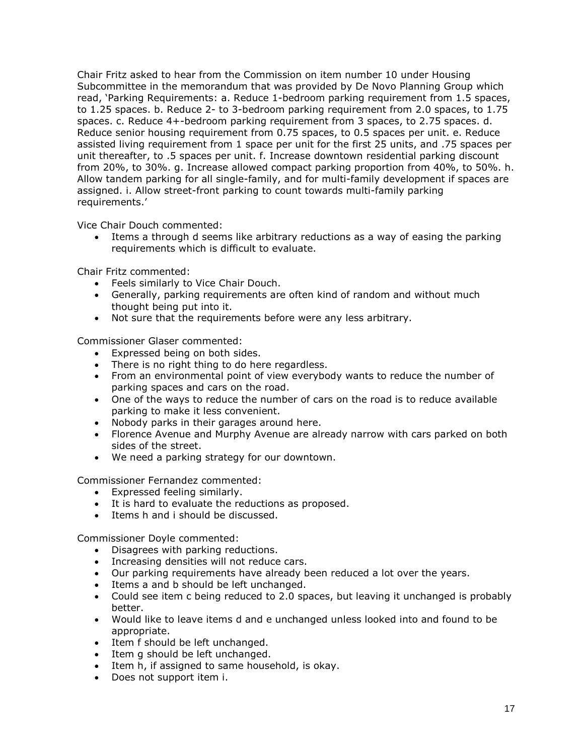Chair Fritz asked to hear from the Commission on item number 10 under Housing Subcommittee in the memorandum that was provided by De Novo Planning Group which read, 'Parking Requirements: a. Reduce 1-bedroom parking requirement from 1.5 spaces, to 1.25 spaces. b. Reduce 2- to 3-bedroom parking requirement from 2.0 spaces, to 1.75 spaces. c. Reduce 4+-bedroom parking requirement from 3 spaces, to 2.75 spaces. d. Reduce senior housing requirement from 0.75 spaces, to 0.5 spaces per unit. e. Reduce assisted living requirement from 1 space per unit for the first 25 units, and .75 spaces per unit thereafter, to .5 spaces per unit. f. Increase downtown residential parking discount from 20%, to 30%. g. Increase allowed compact parking proportion from 40%, to 50%. h. Allow tandem parking for all single-family, and for multi-family development if spaces are assigned. i. Allow street-front parking to count towards multi-family parking requirements.'

Vice Chair Douch commented:

• Items a through d seems like arbitrary reductions as a way of easing the parking requirements which is difficult to evaluate.

Chair Fritz commented:

- Feels similarly to Vice Chair Douch.
- Generally, parking requirements are often kind of random and without much thought being put into it.
- Not sure that the requirements before were any less arbitrary.

Commissioner Glaser commented:

- Expressed being on both sides.
- There is no right thing to do here regardless.
- From an environmental point of view everybody wants to reduce the number of parking spaces and cars on the road.
- One of the ways to reduce the number of cars on the road is to reduce available parking to make it less convenient.
- Nobody parks in their garages around here.
- Florence Avenue and Murphy Avenue are already narrow with cars parked on both sides of the street.
- We need a parking strategy for our downtown.

Commissioner Fernandez commented:

- Expressed feeling similarly.
- It is hard to evaluate the reductions as proposed.
- Items h and i should be discussed.

Commissioner Doyle commented:

- Disagrees with parking reductions.
- Increasing densities will not reduce cars.
- Our parking requirements have already been reduced a lot over the years.
- Items a and b should be left unchanged.
- Could see item c being reduced to 2.0 spaces, but leaving it unchanged is probably better.
- Would like to leave items d and e unchanged unless looked into and found to be appropriate.
- Item f should be left unchanged.
- Item g should be left unchanged.
- Item h, if assigned to same household, is okay.
- Does not support item i.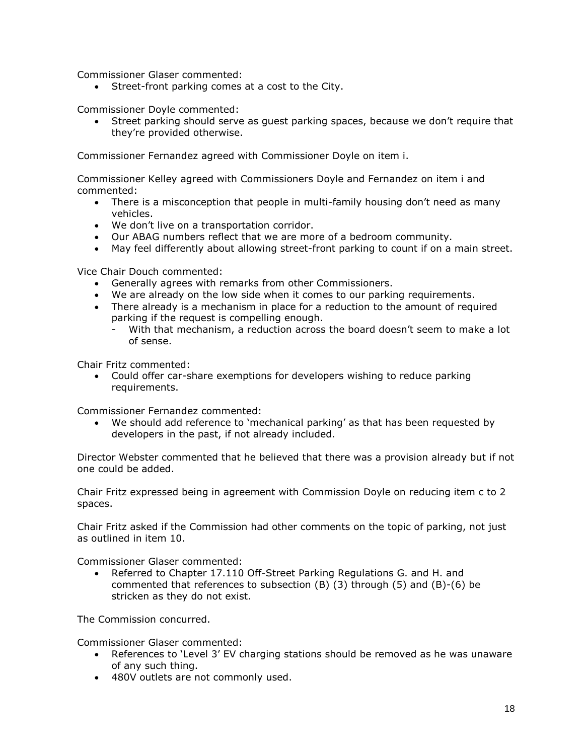Commissioner Glaser commented:

• Street-front parking comes at a cost to the City.

Commissioner Doyle commented:

• Street parking should serve as guest parking spaces, because we don't require that they're provided otherwise.

Commissioner Fernandez agreed with Commissioner Doyle on item i.

Commissioner Kelley agreed with Commissioners Doyle and Fernandez on item i and commented:

- There is a misconception that people in multi-family housing don't need as many vehicles.
- We don't live on a transportation corridor.
- Our ABAG numbers reflect that we are more of a bedroom community.
- May feel differently about allowing street-front parking to count if on a main street.

Vice Chair Douch commented:

- Generally agrees with remarks from other Commissioners.
- We are already on the low side when it comes to our parking requirements.
- There already is a mechanism in place for a reduction to the amount of required parking if the request is compelling enough.
	- With that mechanism, a reduction across the board doesn't seem to make a lot of sense.

Chair Fritz commented:

• Could offer car-share exemptions for developers wishing to reduce parking requirements.

Commissioner Fernandez commented:

• We should add reference to 'mechanical parking' as that has been requested by developers in the past, if not already included.

Director Webster commented that he believed that there was a provision already but if not one could be added.

Chair Fritz expressed being in agreement with Commission Doyle on reducing item c to 2 spaces.

Chair Fritz asked if the Commission had other comments on the topic of parking, not just as outlined in item 10.

Commissioner Glaser commented:

• Referred to Chapter 17.110 Off-Street Parking Regulations G. and H. and commented that references to subsection (B) (3) through (5) and (B)-(6) be stricken as they do not exist.

The Commission concurred.

Commissioner Glaser commented:

- References to 'Level 3' EV charging stations should be removed as he was unaware of any such thing.
- 480V outlets are not commonly used.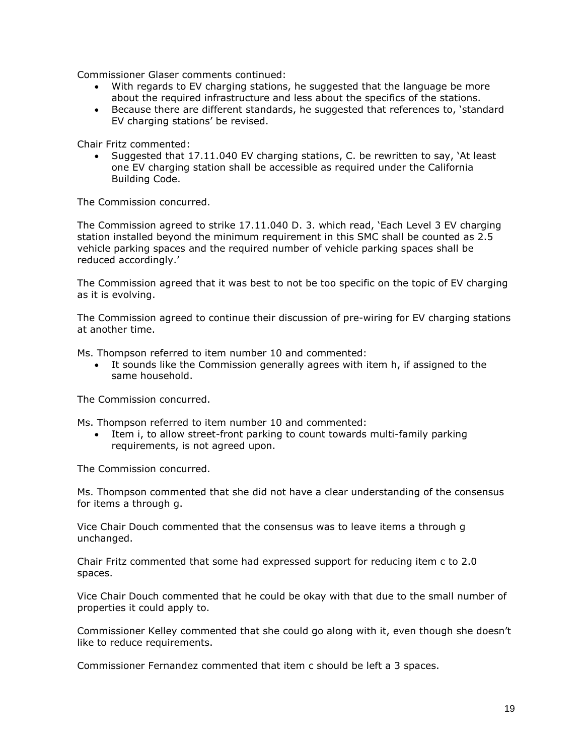Commissioner Glaser comments continued:

- With regards to EV charging stations, he suggested that the language be more about the required infrastructure and less about the specifics of the stations.
- Because there are different standards, he suggested that references to, 'standard EV charging stations' be revised.

Chair Fritz commented:

• Suggested that 17.11.040 EV charging stations, C. be rewritten to say, 'At least one EV charging station shall be accessible as required under the California Building Code.

The Commission concurred.

The Commission agreed to strike 17.11.040 D. 3. which read, 'Each Level 3 EV charging station installed beyond the minimum requirement in this SMC shall be counted as 2.5 vehicle parking spaces and the required number of vehicle parking spaces shall be reduced accordingly.'

The Commission agreed that it was best to not be too specific on the topic of EV charging as it is evolving.

The Commission agreed to continue their discussion of pre-wiring for EV charging stations at another time.

Ms. Thompson referred to item number 10 and commented:

• It sounds like the Commission generally agrees with item h, if assigned to the same household.

The Commission concurred.

Ms. Thompson referred to item number 10 and commented:

Item i, to allow street-front parking to count towards multi-family parking requirements, is not agreed upon.

The Commission concurred.

Ms. Thompson commented that she did not have a clear understanding of the consensus for items a through g.

Vice Chair Douch commented that the consensus was to leave items a through g unchanged.

Chair Fritz commented that some had expressed support for reducing item c to 2.0 spaces.

Vice Chair Douch commented that he could be okay with that due to the small number of properties it could apply to.

Commissioner Kelley commented that she could go along with it, even though she doesn't like to reduce requirements.

Commissioner Fernandez commented that item c should be left a 3 spaces.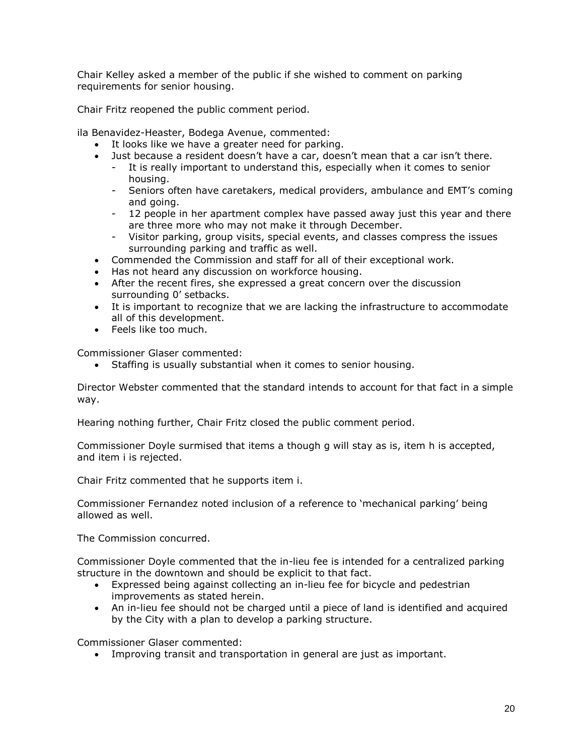Chair Kelley asked a member of the public if she wished to comment on parking requirements for senior housing.

Chair Fritz reopened the public comment period.

ila Benavidez-Heaster, Bodega Avenue, commented:

- It looks like we have a greater need for parking.
- Just because a resident doesn't have a car, doesn't mean that a car isn't there.
	- It is really important to understand this, especially when it comes to senior housing.
	- Seniors often have caretakers, medical providers, ambulance and EMT's coming and going.
	- 12 people in her apartment complex have passed away just this year and there are three more who may not make it through December.
	- Visitor parking, group visits, special events, and classes compress the issues surrounding parking and traffic as well.
- Commended the Commission and staff for all of their exceptional work.
- Has not heard any discussion on workforce housing.
- After the recent fires, she expressed a great concern over the discussion surrounding 0' setbacks.
- It is important to recognize that we are lacking the infrastructure to accommodate all of this development.
- Feels like too much.

Commissioner Glaser commented:

• Staffing is usually substantial when it comes to senior housing.

Director Webster commented that the standard intends to account for that fact in a simple way.

Hearing nothing further, Chair Fritz closed the public comment period.

Commissioner Doyle surmised that items a though g will stay as is, item h is accepted, and item i is rejected.

Chair Fritz commented that he supports item i.

Commissioner Fernandez noted inclusion of a reference to 'mechanical parking' being allowed as well.

The Commission concurred.

Commissioner Doyle commented that the in-lieu fee is intended for a centralized parking structure in the downtown and should be explicit to that fact.

- Expressed being against collecting an in-lieu fee for bicycle and pedestrian improvements as stated herein.
- An in-lieu fee should not be charged until a piece of land is identified and acquired by the City with a plan to develop a parking structure.

Commissioner Glaser commented:

• Improving transit and transportation in general are just as important.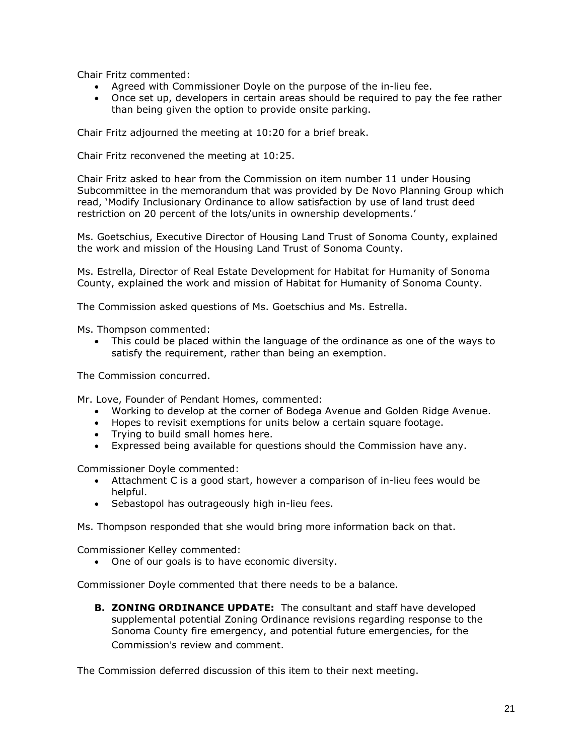Chair Fritz commented:

- Agreed with Commissioner Doyle on the purpose of the in-lieu fee.
- Once set up, developers in certain areas should be required to pay the fee rather than being given the option to provide onsite parking.

Chair Fritz adjourned the meeting at 10:20 for a brief break.

Chair Fritz reconvened the meeting at 10:25.

Chair Fritz asked to hear from the Commission on item number 11 under Housing Subcommittee in the memorandum that was provided by De Novo Planning Group which read, 'Modify Inclusionary Ordinance to allow satisfaction by use of land trust deed restriction on 20 percent of the lots/units in ownership developments.'

Ms. Goetschius, Executive Director of Housing Land Trust of Sonoma County, explained the work and mission of the Housing Land Trust of Sonoma County.

Ms. Estrella, Director of Real Estate Development for Habitat for Humanity of Sonoma County, explained the work and mission of Habitat for Humanity of Sonoma County.

The Commission asked questions of Ms. Goetschius and Ms. Estrella.

Ms. Thompson commented:

• This could be placed within the language of the ordinance as one of the ways to satisfy the requirement, rather than being an exemption.

The Commission concurred.

Mr. Love, Founder of Pendant Homes, commented:

- Working to develop at the corner of Bodega Avenue and Golden Ridge Avenue.
- Hopes to revisit exemptions for units below a certain square footage.
- Trying to build small homes here.
- Expressed being available for questions should the Commission have any.

Commissioner Doyle commented:

- Attachment C is a good start, however a comparison of in-lieu fees would be helpful.
- Sebastopol has outrageously high in-lieu fees.

Ms. Thompson responded that she would bring more information back on that.

Commissioner Kelley commented:

• One of our goals is to have economic diversity.

Commissioner Doyle commented that there needs to be a balance.

**B. ZONING ORDINANCE UPDATE:** The consultant and staff have developed supplemental potential Zoning Ordinance revisions regarding response to the Sonoma County fire emergency, and potential future emergencies, for the Commission's review and comment.

The Commission deferred discussion of this item to their next meeting.